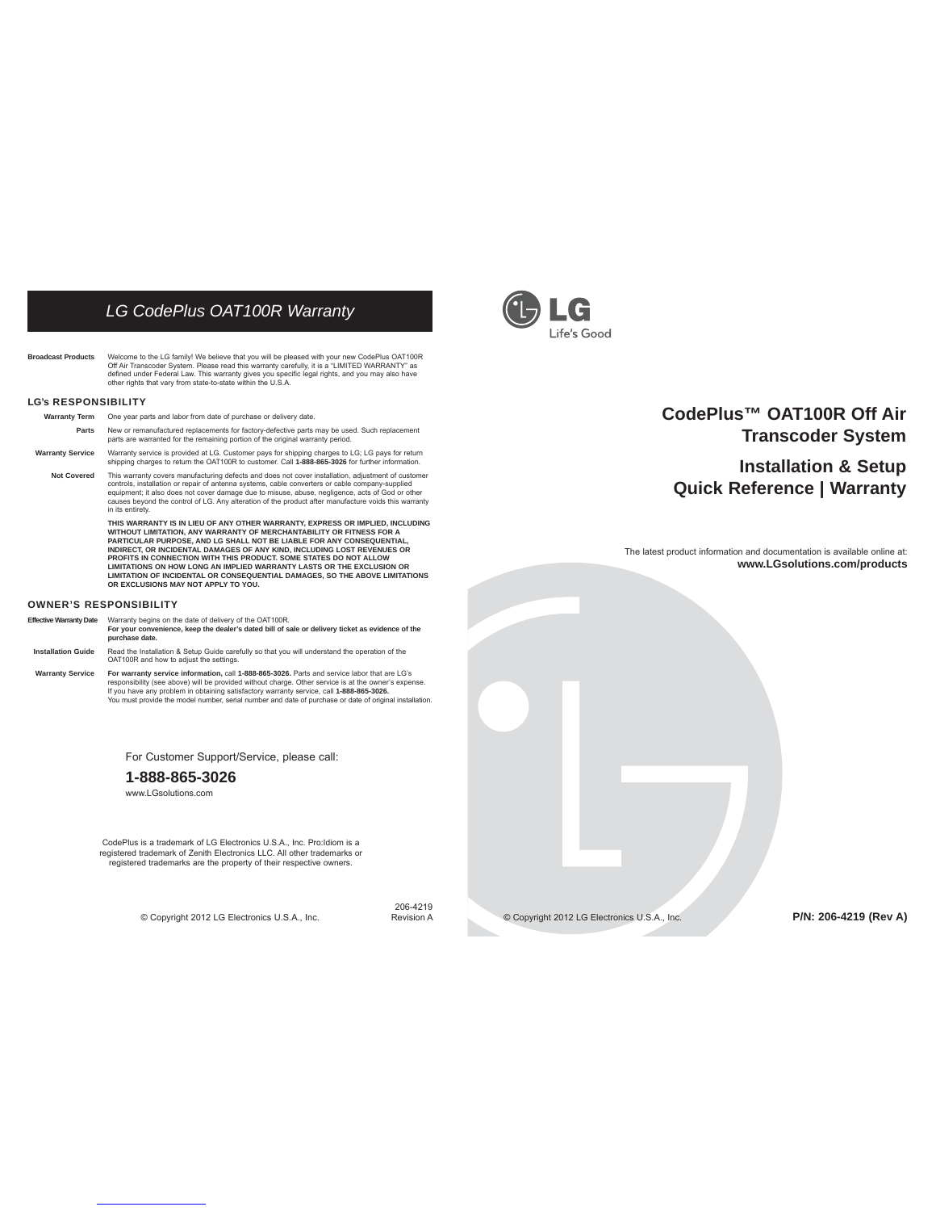# *LG CodePlus OAT100R Warranty*

Broadcast Products Welcome to the LG family! We believe that you will be pleased with your new CodePlus OAT100R<br>Off Air Transcoder System. Please read this warranty carefully, it is a "LIMITED WARRANTY" as<br>defined under Fe

#### **LG's RESPONSIBILITY**

- **Warranty Term** One year parts and labor from date of purchase or delivery date.
- **Parts** New or remanufactured replacements for factory-defective parts may be used. Such replacement parts are warranted for the remaining portion of the original warranty period.
- **Warranty Service** Warranty service is provided at LG. Customer pays for shipping charges to LG; LG pays for return shipping charges to return the OAT100R to customer. Call **1-888-865-3026** for further information.

Not Covered This warranty covers manufacturing defects and does not cover installation, adjustment of customer<br>controls, installation or repair of antenna systems, cable converters or cable company-supplied<br>equipment; it a in its entirety.

> **THIS WARRANTY IS IN LIEU OF ANY OTHER WARRANTY, EXPRESS OR IMPLIED, INCLUDING**  WITHOUT LIMITATION, ANY WARRANTY OF MERCHANTABILITY OR FITNESS FOR A<br>PARTICULAR PURPOSE, AND LG SHALL NOT BE LIABLE FOR ANY CONSEQUENTIAL,<br>INDIRECT, OR INCIDENTAL DAMAGES OF ANY KIND, INCLUDING LOST REVENUES OR<br>PROFITS IN  **LIMITATIONS ON HOW LONG AN IMPLIED WARRANTY LASTS OR THE EXCLUSION OR LIMITATION OF INCIDENTAL OR CONSEQUENTIAL DAMAGES, SO THE ABOVE LIMITATIONS OR EXCLUSIONS MAY NOT APPLY TO YOU.**

#### **OWNER'S RESPONSIBILITY**

**Effective Warranty Date** Warranty begins on the date of delivery of the OAT100R.

- **For your convenience, keep the dealer's dated bill of sale or delivery ticket as evidence of the purchase date. Installation Guide** Read the Installation & Setup Guide carefully so that you will understand the operation of the
- OAT100R and how to adjust the settings.

Warranty Service For warranty service information, call 1-888-865-3026. Parls and service labor that are LG's<br>responsibility (see above) will be provided without charge. Other service is at the owner's expense.<br>If you have You must provide the model number, serial number and date of purchase or date of original installation.

For Customer Support/Service, please call:

### **1-888-865-3026**

www.LGsolutions.com

CodePlus is a trademark of LG Electronics U.S.A., Inc. Pro:Idiom is a registered trademark of Zenith Electronics LLC. All other trademarks or registered trademarks are the property of their respective owners.

© Copyright 2012 LG Electronics U.S.A., Inc. Revision A

206-4219



# **CodePlus™ OAT100R Off Air Transcoder System**

**Installation & Setup Quick Reference | Warranty**

The latest product information and documentation is available online at: **www.LGsolutions.com/products**

© Copyright 2012 LG Electronics U.S.A., Inc.

**P/N: 206-4219 (Rev A)**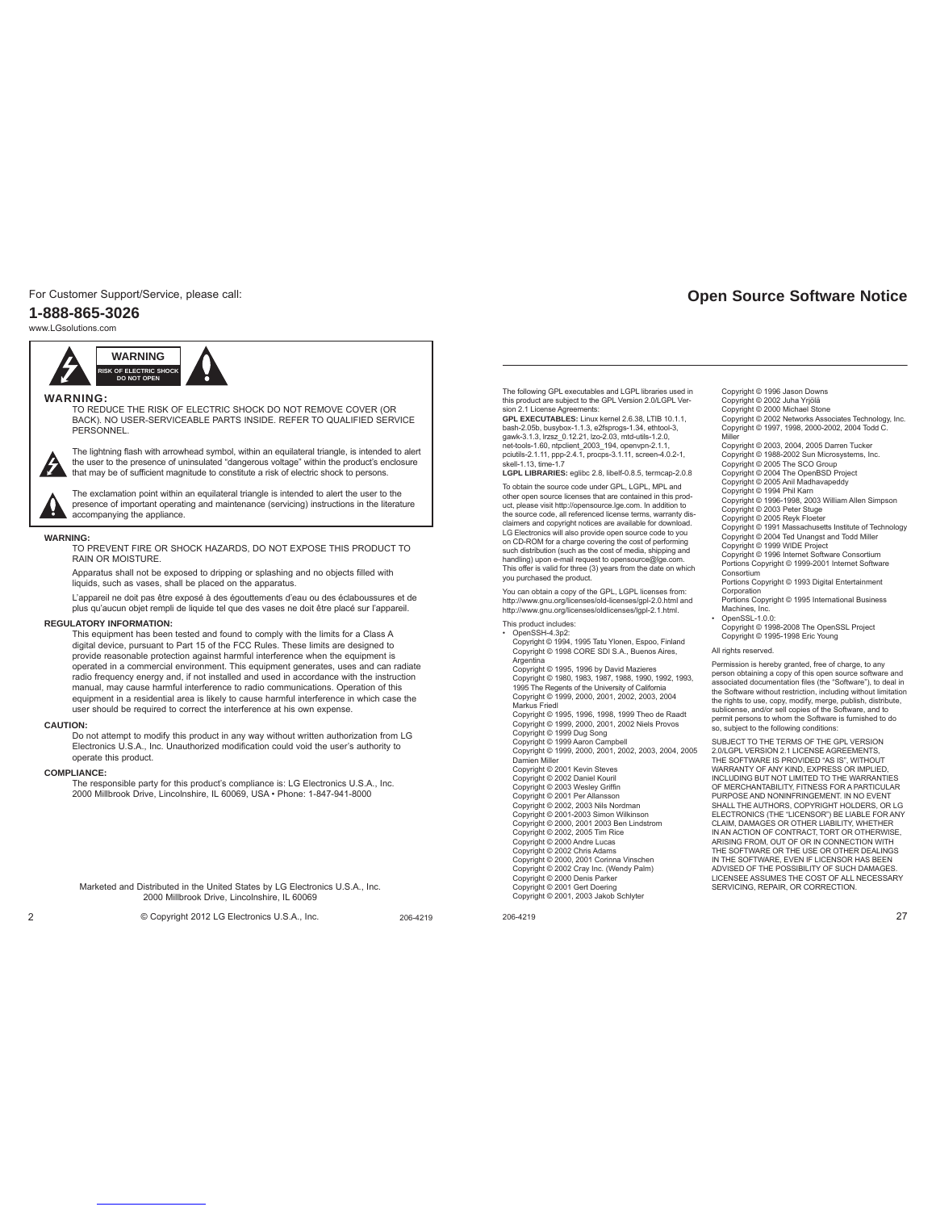For Customer Support/Service, please call:

### **1-888-865-3026**

www.LGsolutions.com



### **WARNING:**

TO REDUCE THE RISK OF ELECTRIC SHOCK DO NOT REMOVE COVER (OR BACK). NO USER-SERVICEABLE PARTS INSIDE. REFER TO QUALIFIED SERVICE PERSONNEL.



 The lightning flash with arrowhead symbol, within an equilateral triangle, is intended to alert the user to the presence of uninsulated "dangerous voltage" within the product's enclosure that may be of sufficient magnitude to constitute a risk of electric shock to persons.

 The exclamation point within an equilateral triangle is intended to alert the user to the presence of important operating and maintenance (servicing) instructions in the literature accompanying the appliance.

#### **WARNING:**

TO PREVENT FIRE OR SHOCK HAZARDS, DO NOT EXPOSE THIS PRODUCT TO RAIN OR MOISTURE.

 Apparatus shall not be exposed to dripping or splashing and no objects filled with liquids, such as vases, shall be placed on the apparatus.

L'appareil ne doit pas être exposé à des égouttements d'eau ou des éclaboussures et de plus qu'aucun objet rempli de liquide tel que des vases ne doit être placé sur l'appareil.

### **REGULATORY INFORMATION:**

This equipment has been tested and found to comply with the limits for a Class A digital device, pursuant to Part 15 of the FCC Rules. These limits are designed to provide reasonable protection against harmful interference when the equipment is operated in a commercial environment. This equipment generates, uses and can radiate radio frequency energy and, if not installed and used in accordance with the instruction manual, may cause harmful interference to radio communications. Operation of this equipment in a residential area is likely to cause harmful interference in which case the user should be required to correct the interference at his own expense.

#### **CAUTION:**

Do not attempt to modify this product in any way without written authorization from LG Electronics U.S.A., Inc. Unauthorized modification could void the user's authority to operate this product.

#### **COMPLIANCE:**

The responsible party for this product's compliance is: LG Electronics U.S.A., Inc. 2000 Millbrook Drive, Lincolnshire, IL 60069, USA • Phone: 1-847-941-8000

Marketed and Distributed in the United States by LG Electronics U.S.A., Inc. 2000 Millbrook Drive, Lincolnshire, IL 60069

2 206-4219 © Copyright 2012 LG Electronics U.S.A., Inc.

The following GPL executables and LGPL libraries used in this product are subject to the GPL Version 2.0/LGPL Version 2.1 License Agreements:

**GPL EXECUTABLES:** Linux kernel 2.6.38, LTIB 10.1.1,<br>bash-2.05b, busybox-1.1.3, e2fsprogs-1.34, ethtool-3,<br>gawk-3.1.3, lrzsz\_0.12.21, lzo-2.03, mtd-utils-1.2.0, net-tools-1.60, ntpclient\_2003\_194, openvpn-2.1.1 pciutils-2.1.11, ppp-2.4.1, procps-3.1.11, screen-4.0.2-1,<br>skell 1.13, time 1.7 skell-1.13, time-1.7 **LGPL LIBRARIES:** eglibc 2.8, libelf-0.8.5, termcap-2.0.8

To obtain the source code under GPL, LGPL, MPL and other open source licenses that are contained in this prod-uct, please visit http://opensource.lge.com. In addition to the source code, all referenced license terms, warranty disclaimers and copyright notices are available for download. LG Electronics will also provide open source code to you on CD-ROM for a charge covering the cost of performing such distribution (such as the cost of media, shipping and handling) upon e-mail request to opensource@lge.com. This offer is valid for three (3) years from the date on which you purchased the product.

You can obtain a copy of the GPL, LGPL licenses from: http://www.gnu.org/licenses/old-licenses/gpl-2.0.html and http://www.gnu.org/licenses/oldlicenses/lgpl-2.1.html.

#### This product includes:

• OpenSSH-4.3p2: Copyright © 1994, 1995 Tatu Ylonen, Espoo, Finland Copyright © 1998 CORE SDI S.A., Buenos Aires, Argentina Copyright © 1995, 1996 by David Mazieres Copyright © 1980, 1983, 1987, 1988, 1990, 1992, 1993, 1995 The Regents of the University of California Copyright © 1999, 2000, 2001, 2002, 2003, 2004 Markus Friedl Copyright © 1995, 1996, 1998, 1999 Theo de Raadt Copyright © 1999, 2000, 2001, 2002 Niels Provos Copyright © 1999 Dug Song Copyright © 1999 Aaron Campbell Copyright © 1999, 2000, 2001, 2002, 2003, 2004, 2005 Damien Miller Copyright © 2001 Kevin Steves Copyright © 2002 Daniel Kouril Copyright © 2003 Wesley Griffi n Copyright © 2001 Per Allansson Copyright © 2002, 2003 Nils Nordman Copyright © 2001-2003 Simon Wilkinson Copyright © 2000, 2001 2003 Ben Lindstrom Copyright © 2002, 2005 Tim Rice Copyright © 2000 Andre Lucas Copyright © 2002 Chris Adams Copyright © 2000, 2001 Corinna Vinschen Copyright © 2002 Cray Inc. (Wendy Palm) Copyright © 2000 Denis Parker Copyright © 2001 Gert Doering Copyright © 2001, 2003 Jakob Schlyter

206-4219 27

# **Open Source Software Notice**

Copyright © 1996 Jason Downs

- Copyright © 2002 Juha Yrjölä
- Copyright © 2000 Michael Stone Copyright © 2002 Networks Associates Technology, Inc. Copyright © 1997, 1998, 2000-2002, 2004 Todd C. Miller

Copyright © 2003, 2004, 2005 Darren Tucker

Copyright © 1988-2002 Sun Microsystems, Inc.

Copyright © 2005 The SCO Group Copyright © 2004 The OpenBSD Project

Copyright © 2005 Anil Madhavapeddy

Copyright © 1994 Phil Karn Copyright © 1996-1998, 2003 William Allen Simpson Copyright © 2003 Peter Stuge

Copyright © 2005 Reyk Floeter Copyright © 1991 Massachusetts Institute of Technology

Copyright © 2004 Ted Unangst and Todd Miller Copyright © 1999 WIDE Project Copyright © 1996 Internet Software Consortium

Portions Copyright © 1999-2001 Internet Software Consortium

- Portions Copyright © 1993 Digital Entertainment Corporation
- Portions Copyright © 1995 International Business Machines, Inc.

• OpenSSL-1.0.0: Copyright © 1998-2008 The OpenSSL Project Copyright © 1995-1998 Eric Young

### All rights reserved.

Permission is hereby granted, free of charge, to any<br>person obtaining a copy of this open source software and<br>associated documentation files (the "Software"), to deal in the Software without restriction, including without limitation<br>the rights to use, copy, modify, merge, publish, distribute,<br>sublicense, and/or sell copies of the Software, and to<br>permit persons to whom the Software is furn

SUBJECT TO THE TERMS OF THE GPL VERSION 2.0/LGPL VERSION 2.1 LICENSE AGREEMENTS, THE SOFTWARE IS PROVIDED "AS IS", WITHOUT WARRANTY OF ANY KIND, EXPRESS OR IMPLIED, INCLUDING BUT NOT LIMITED TO THE WARRANTIES OF MERCHANTABILITY, FITNESS FOR A PARTICULAR PURPOSE AND NONINFRINGEMENT. IN NO EVENT SHALL THE AUTHORS, COPYRIGHT HOLDERS, OR LG ELECTRONICS (THE "LICENSOR") BE LIABLE FOR ANY CLAIM, DAMAGES OR OTHER LIABILITY, WHETHER IN AN ACTION OF CONTRACT, TORT OR OTHERWISE, ARISING FROM, OUT OF OR IN CONNECTION WITH THE SOFTWARE OR THE USE OR OTHER DEALINGS IN THE SOFTWARE, EVEN IF LICENSOR HAS BEEN ADVISED OF THE POSSIBILITY OF SUCH DAMAGES. LICENSEE ASSUMES THE COST OF ALL NECESSARY SERVICING, REPAIR, OR CORRECTION.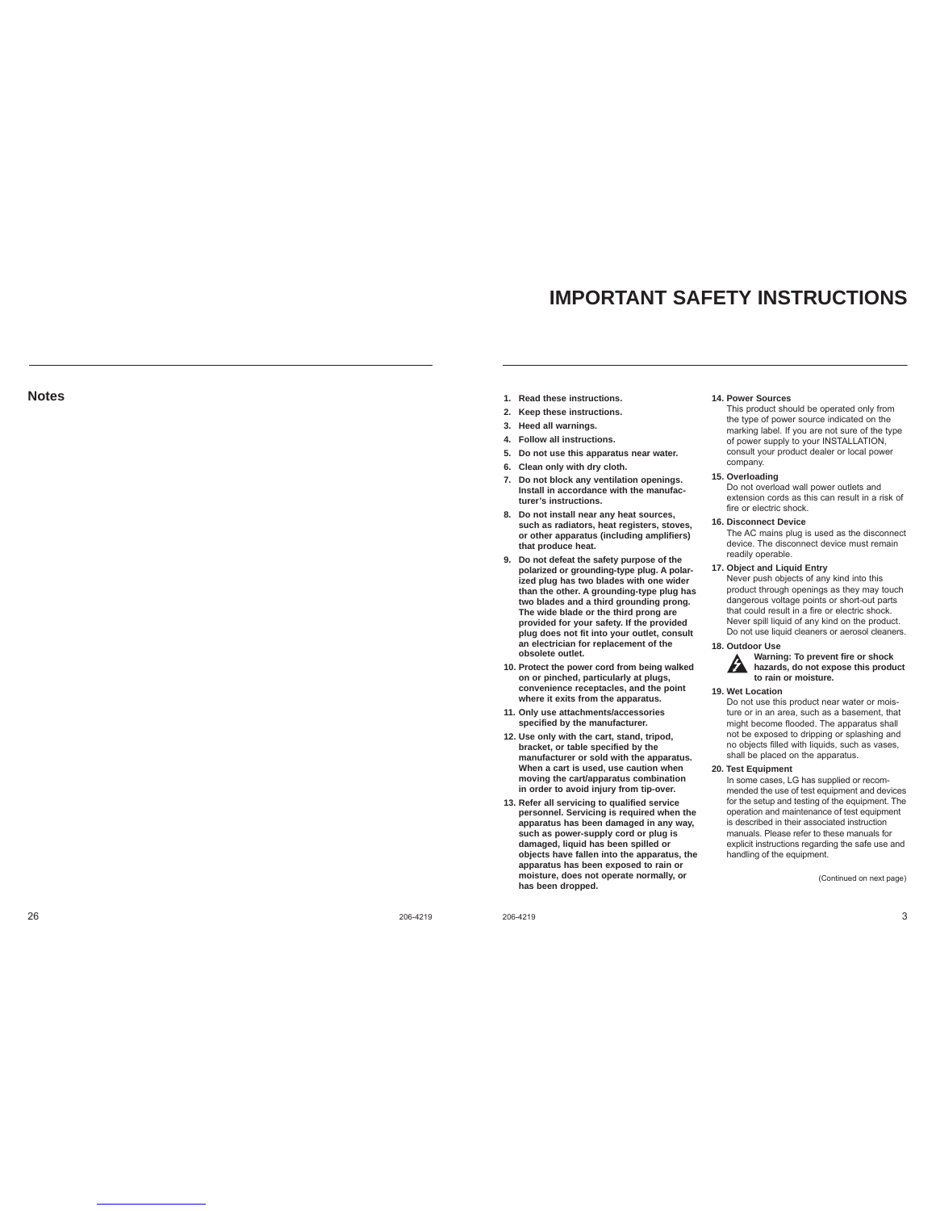# **IMPORTANT SAFETY INSTRUCTIONS**

## **Notes**

- **1. Read these instructions.**
- **2. Keep these instructions.**
- **3. Heed all warnings.**
- **4. Follow all instructions.**
- **5. Do not use this apparatus near water.**
- **6. Clean only with dry cloth.**
- **7. Do not block any ventilation openings. Install in accordance with the manufacturer's instructions.**
- **8. Do not install near any heat sources, such as radiators, heat registers, stoves, or other apparatus (including amplifiers) that produce heat.**
- **9. Do not defeat the safety purpose of the polarized or grounding-type plug. A polar-ized plug has two blades with one wider than the other. A grounding-type plug has two blades and a third grounding prong. The wide blade or the third prong are provided for your safety. If the provided plug does not fit into your outlet, consult an electrician for replacement of the obsolete outlet.**
- **10. Protect the power cord from being walked on or pinched, particularly at plugs, convenience receptacles, and the point where it exits from the apparatus.**
- **11. Only use attachments/accessories specified by the manufacturer.**
- **12. Use only with the cart, stand, tripod, bracket, or table specified by the manufacturer or sold with the apparatus. When a cart is used, use caution when moving the cart/apparatus combination in order to avoid injury from tip-over.**
- 13. Refer all servicing to qualified service **personnel. Servicing is required when the apparatus has been damaged in any way, such as power-supply cord or plug is damaged, liquid has been spilled or objects have fallen into the apparatus, the apparatus has been exposed to rain or moisture, does not operate normally, or has been dropped.**

26 206-4219

206-4219 3

#### **14. Power Sources**

 This product should be operated only from the type of power source indicated on the marking label. If you are not sure of the type of power supply to your INSTALLATION, consult your product dealer or local power company.

**15. Overloading**

 Do not overload wall power outlets and extension cords as this can result in a risk of fire or electric shock.

### **16. Disconnect Device**

 The AC mains plug is used as the disconnect device. The disconnect device must remain readily operable.

**17. Object and Liquid Entry**

 Never push objects of any kind into this product through openings as they may touch dangerous voltage points or short-out parts that could result in a fire or electric shock. Never spill liquid of any kind on the product. Do not use liquid cleaners or aerosol cleaners.

**18. Outdoor Use**

## **Warning: To prevent fire or shock hazards, do not expose this product to rain or moisture.**

#### **19. Wet Location**

 Do not use this product near water or moisture or in an area, such as a basement, that might become flooded. The apparatus shall not be exposed to dripping or splashing and no objects filled with liquids, such as vases, shall be placed on the apparatus.

**20. Test Equipment**

In some cases, LG has supplied or recommended the use of test equipment and devices for the setup and testing of the equipment. The operation and maintenance of test equipment is described in their associated instruction manuals. Please refer to these manuals for explicit instructions regarding the safe use and handling of the equipment.

(Continued on next page)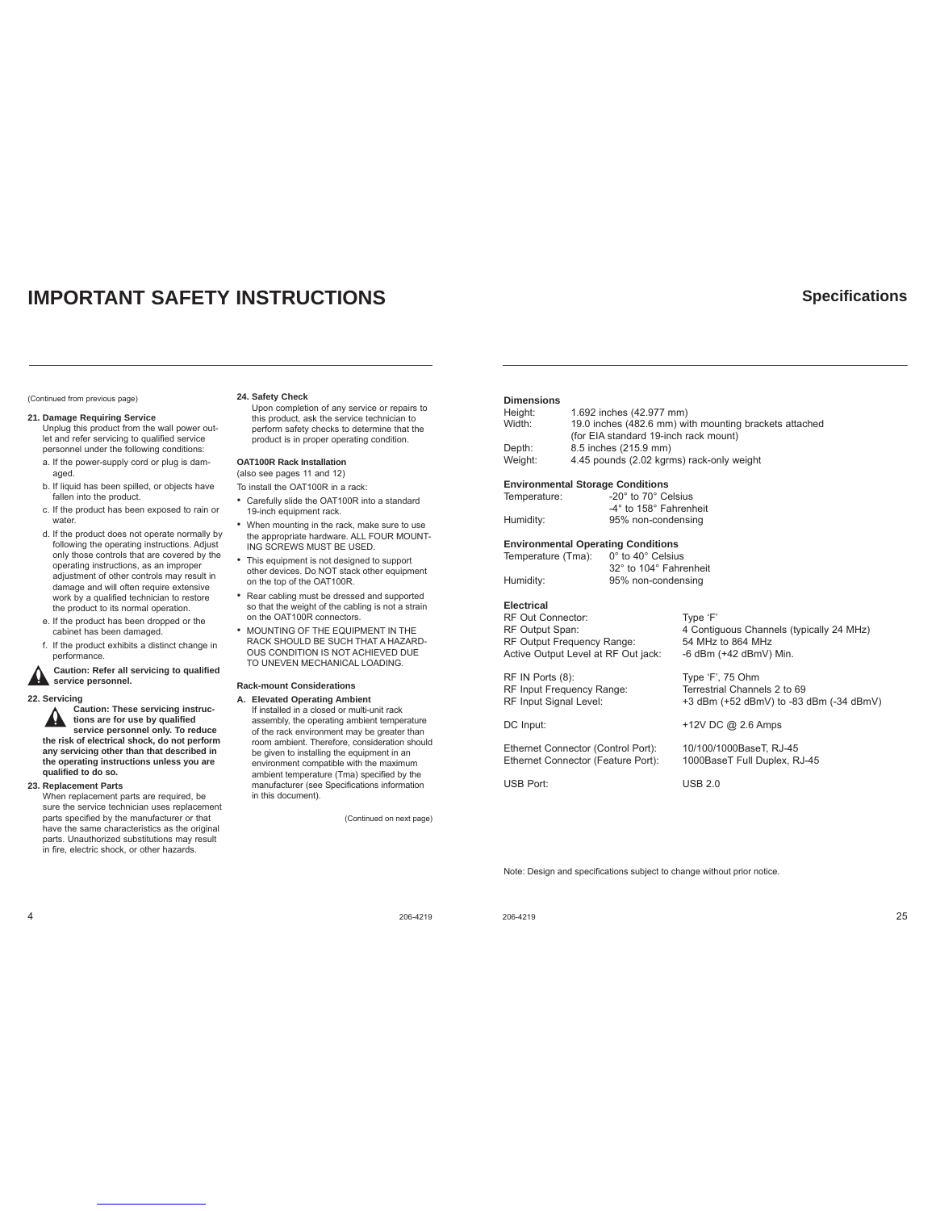# **IMPORTANT SAFETY INSTRUCTIONS**

#### (Continued from previous page)

#### **21. Damage Requiring Service**

- Unplug this product from the wall power outlet and refer servicing to qualified service personnel under the following conditions:
- a. If the power-supply cord or plug is damaged.
- b. If liquid has been spilled, or objects have fallen into the product.
- c. If the product has been exposed to rain or water
- d. If the product does not operate normally by following the operating instructions. Adjust only those controls that are covered by the operating instructions, as an improper adjustment of other controls may result in damage and will often require extensive work by a qualified technician to restore the product to its normal operation.
- e. If the product has been dropped or the cabinet has been damaged.
- f. If the product exhibits a distinct change in performance.

**Caution: Refer all servicing to qualifi ed**  service personnel.

**22. Servicing**

**Caution: These servicing instructions are for use by qualifi ed service personnel only. To reduce the risk of electrical shock, do not perform any servicing other than that described in the operating instructions unless you are qualifi ed to do so.**

**23. Replacement Parts**

When replacement parts are required, be sure the service technician uses replacement parts specified by the manufacturer or that<br>have the same characteristics as the original parts. Unauthorized substitutions may result in fire, electric shock, or other hazards.

### **24. Safety Check**

Upon completion of any service or repairs to this product, ask the service technician to perform safety checks to determine that the product is in proper operating condition.

**OAT100R Rack Installation** (also see pages 11 and 12)

To install the OAT100R in a rack:

- Carefully slide the OAT100R into a standard 19-inch equipment rack.
- When mounting in the rack, make sure to use the appropriate hardware. ALL FOUR MOUNT-ING SCREWS MUST BE USED.
- This equipment is not designed to support other devices. Do NOT stack other equipment on the top of the OAT100R.
- Rear cabling must be dressed and supported so that the weight of the cabling is not a strain on the OAT100R connectors.
- MOUNTING OF THE EQUIPMENT IN THE RACK SHOULD BE SUCH THAT A HAZARD-OUS CONDITION IS NOT ACHIEVED DUE TO UNEVEN MECHANICAL LOADING.

### **Rack-mount Considerations**

**A. Elevated Operating Ambient** If installed in a closed or multi-unit rack assembly, the operating ambient temperature of the rack environment may be greater than room ambient. Therefore, consideration should be given to installing the equipment in an environment compatible with the maximum ambient temperature (Tma) specified by the manufacturer (see Specifications information in this document).

(Continued on next page)

### **Dimensions**

| Height: | 1.692 inches (42.977 mm)                               |
|---------|--------------------------------------------------------|
| Width:  | 19.0 inches (482.6 mm) with mounting brackets attached |
|         | (for EIA standard 19-inch rack mount)                  |
| Depth:  | 8.5 inches (215.9 mm)                                  |
| Weight: | 4.45 pounds (2.02 kgrms) rack-only weight              |

95% non-condensing

# **Environmental Storage Conditions**<br>Temperature: -20° to 70° Ce

| Temperature: | -20° to 70° Celsius    |
|--------------|------------------------|
|              | -4° to 158° Fahrenheit |
| Humidity:    | 95% non-condensing     |

# **Environmental Operating Conditions**<br>Temperature (Tma): 0° to 40° Celsius

Temperature (Tma): 32° to 104° Fahrenheit<br>Humidity: 95% non-condensing

### **Electrical**

| <b>RF Out Connector:</b>            |
|-------------------------------------|
| RF Output Span:                     |
| RF Output Frequency Range:          |
| Active Output Level at RF Out jack: |

RF IN Ports (8): Type 'F', 75 Ohm<br>RF Input Frequency Range: Terrestrial Channe RF Input Signal Level: +3 dBm (+52 dBmV) to -83 dBm (-34 dBmV)

DC Input:  $+12V$  DC @ 2.6 Amps

Ethernet Connector (Control Port): 10/100/1000BaseT, RJ-45<br>Ethernet Connector (Feature Port): 1000BaseT Full Duplex, RJ-45 Ethernet Connector (Feature Port):

USB Port: USB 2.0

Type 'F'

54 MHz to 864 MHz -6 dBm (+42 dBmV) Min.

Terrestrial Channels 2 to 69

4 Contiguous Channels (typically 24 MHz)

Note: Design and specifications subject to change without prior notice.

**4** 206-4219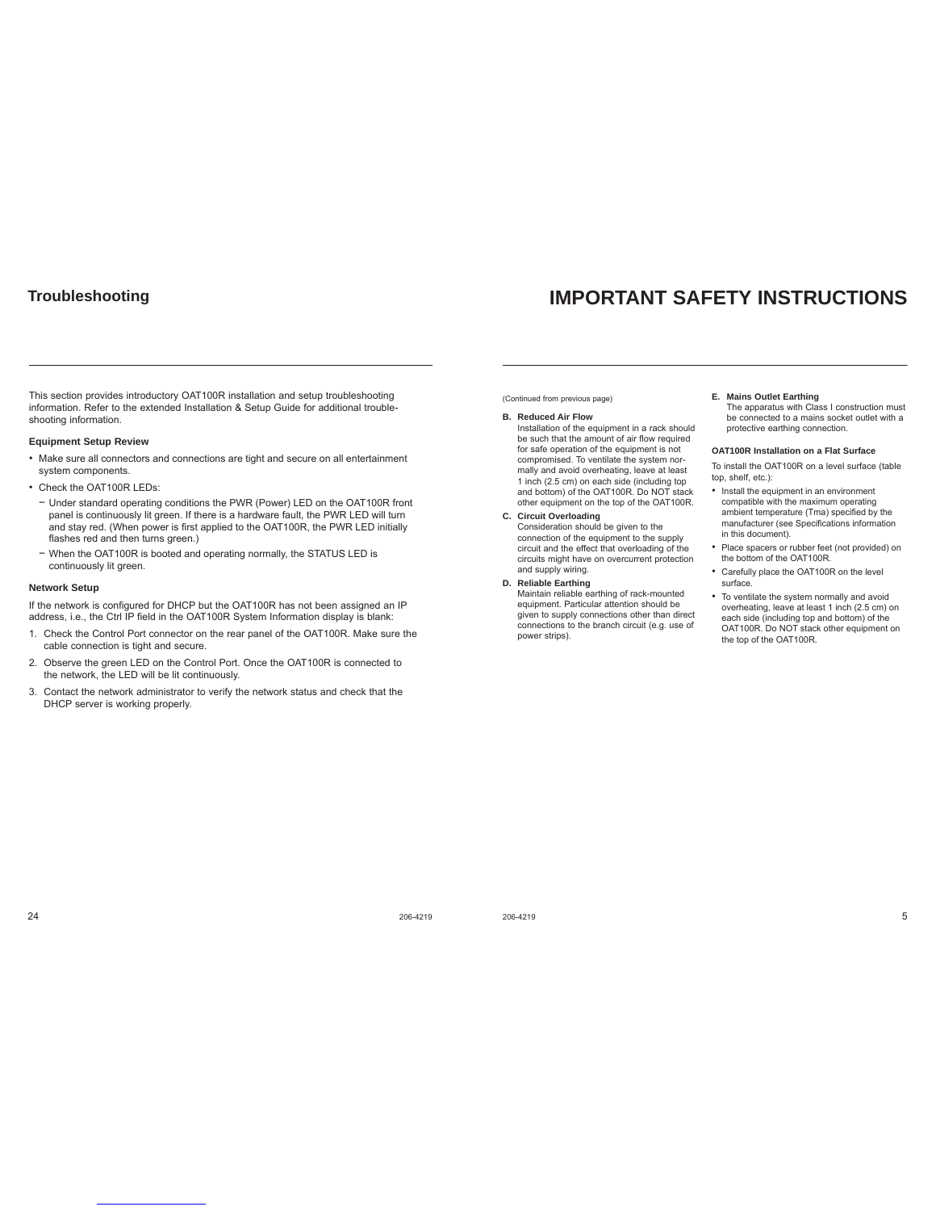# **Troubleshooting**

# **IMPORTANT SAFETY INSTRUCTIONS**

This section provides introductory OAT100R installation and setup troubleshooting information. Refer to the extended Installation & Setup Guide for additional troubleshooting information.

### **Equipment Setup Review**

- Make sure all connectors and connections are tight and secure on all entertainment system components.
- Check the OAT100R LEDs:
- − Under standard operating conditions the PWR (Power) LED on the OAT100R front panel is continuously lit green. If there is a hardware fault, the PWR LED will turn and stay red. (When power is first applied to the OAT100R, the PWR LED initially flashes red and then turns green.)
- − When the OAT100R is booted and operating normally, the STATUS LED is continuously lit green.

### **Network Setup**

If the network is configured for DHCP but the OAT100R has not been assigned an IP address, i.e., the Ctrl IP field in the OAT100R System Information display is blank:

- 1. Check the Control Port connector on the rear panel of the OAT100R. Make sure the cable connection is tight and secure.
- 2. Observe the green LED on the Control Port. Once the OAT100R is connected to the network, the LED will be lit continuously.
- 3. Contact the network administrator to verify the network status and check that the DHCP server is working properly.

(Continued from previous page)

**B. Reduced Air Flow** Installation of the equipment in a rack should be such that the amount of air flow required for safe operation of the equipment is not compromised. To ventilate the system normally and avoid overheating, leave at least 1 inch (2.5 cm) on each side (including top and bottom) of the OAT100R. Do NOT stack other equipment on the top of the OAT100R.

**C. Circuit Overloading** Consideration should be given to the connection of the equipment to the supply circuit and the effect that overloading of the circuits might have on overcurrent protection and supply wiring.

**D. Reliable Earthing** Maintain reliable earthing of rack-mounted equipment. Particular attention should be given to supply connections other than direct connections to the branch circuit (e.g. use of power strips).

### **E. Mains Outlet Earthing**

The apparatus with Class I construction must be connected to a mains socket outlet with a protective earthing connection.

### **OAT100R Installation on a Flat Surface**

- To install the OAT100R on a level surface (table top, shelf, etc.):
- Install the equipment in an environment compatible with the maximum operating ambient temperature (Tma) specified by the manufacturer (see Specifications information in this document).
- Place spacers or rubber feet (not provided) on the bottom of the OAT100R.
- Carefully place the OAT100R on the level surface.
- To ventilate the system normally and avoid overheating, leave at least 1 inch (2.5 cm) on each side (including top and bottom) of the OAT100R. Do NOT stack other equipment on the top of the OAT100R.

 $24$  206-4219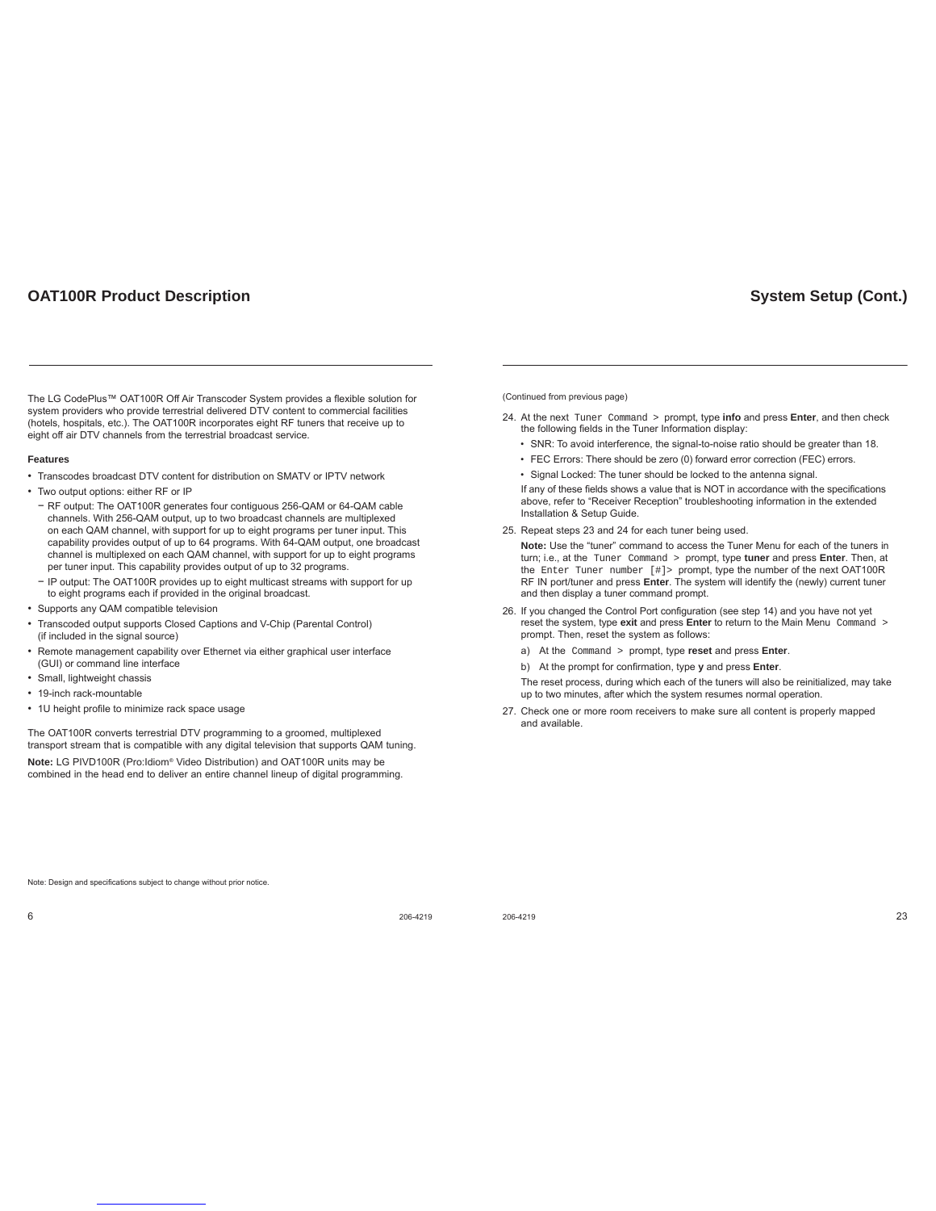# **OAT100R Product Description**

The LG CodePlus™ OAT100R Off Air Transcoder System provides a flexible solution for system providers who provide terrestrial delivered DTV content to commercial facilities (hotels, hospitals, etc.). The OAT100R incorporates eight RF tuners that receive up to eight off air DTV channels from the terrestrial broadcast service.

### **Features**

- Transcodes broadcast DTV content for distribution on SMATV or IPTV network
- Two output options: either RF or IP
- − RF output: The OAT100R generates four contiguous 256-QAM or 64-QAM cable channels. With 256-QAM output, up to two broadcast channels are multiplexed on each QAM channel, with support for up to eight programs per tuner input. This capability provides output of up to 64 programs. With 64-QAM output, one broadcast channel is multiplexed on each QAM channel, with support for up to eight programs per tuner input. This capability provides output of up to 32 programs.
- − IP output: The OAT100R provides up to eight multicast streams with support for up to eight programs each if provided in the original broadcast.
- Supports any QAM compatible television
- Transcoded output supports Closed Captions and V-Chip (Parental Control) (if included in the signal source)
- Remote management capability over Ethernet via either graphical user interface (GUI) or command line interface
- Small, lightweight chassis
- 19-inch rack-mountable
- 1U height profile to minimize rack space usage

The OAT100R converts terrestrial DTV programming to a groomed, multiplexed transport stream that is compatible with any digital television that supports QAM tuning. **Note:** LG PIVD100R (Pro:Idiom® Video Distribution) and OAT100R units may be combined in the head end to deliver an entire channel lineup of digital programming.

(Continued from previous page)

- 24. At the next Tuner Command > prompt, type **info** and press **Enter**, and then check the following fields in the Tuner Information display:
	- SNR: To avoid interference, the signal-to-noise ratio should be greater than 18.

**System Setup (Cont.)**

- FEC Errors: There should be zero (0) forward error correction (FEC) errors.
- Signal Locked: The tuner should be locked to the antenna signal.

If any of these fields shows a value that is NOT in accordance with the specifications above, refer to "Receiver Reception" troubleshooting information in the extended Installation & Setup Guide.

25. Repeat steps 23 and 24 for each tuner being used.

**Note:** Use the "tuner" command to access the Tuner Menu for each of the tuners in turn; i.e., at the Tuner Command > prompt, type **tuner** and press **Enter**. Then, at the Enter Tuner number [#]> prompt, type the number of the next OAT100R RF IN port/tuner and press **Enter**. The system will identify the (newly) current tuner and then display a tuner command prompt.

- 26. If you changed the Control Port configuration (see step 14) and you have not yet reset the system, type **exit** and press **Enter** to return to the Main Menu Command > prompt. Then, reset the system as follows:
	- a) At the Command > prompt, type **reset** and press **Enter**.
	- b) At the prompt for confirmation, type y and press **Enter**.

The reset process, during which each of the tuners will also be reinitialized, may take up to two minutes, after which the system resumes normal operation.

27. Check one or more room receivers to make sure all content is properly mapped and available.

Note: Design and specifications subject to change without prior notice

 $6$  206-4219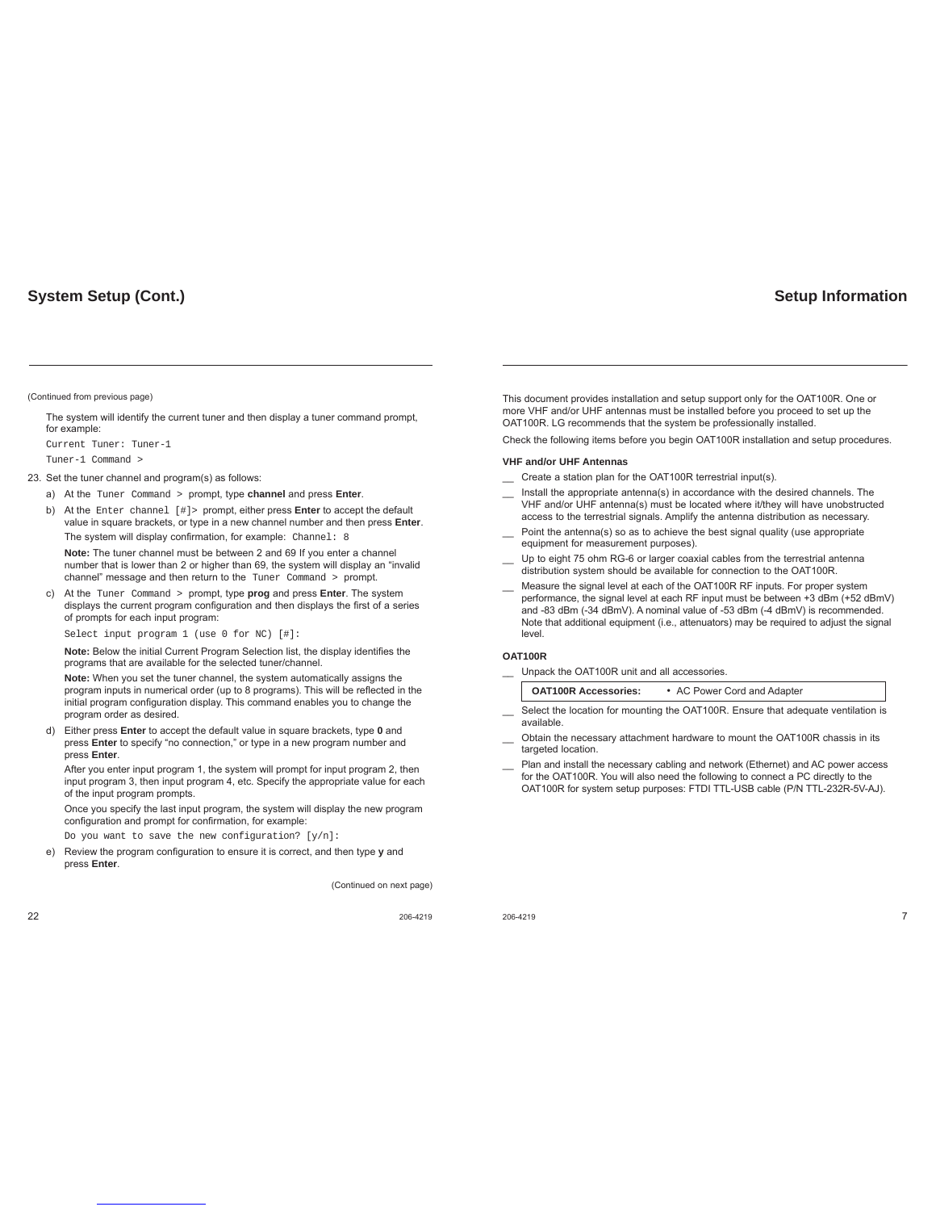### (Continued from previous page)

 The system will identify the current tuner and then display a tuner command prompt, for example:

Current Tuner: Tuner-1

Tuner-1 Command >

### 23. Set the tuner channel and program(s) as follows:

- a) At the Tuner Command > prompt, type **channel** and press **Enter**.
- b) At the Enter channel [#]> prompt, either press **Enter** to accept the default value in square brackets, or type in a new channel number and then press **Enter**.

The system will display confirmation, for example: Channel: 8

**Note:** The tuner channel must be between 2 and 69 If you enter a channel number that is lower than 2 or higher than 69, the system will display an "invalid channel" message and then return to the Tuner Command > prompt.

c) At the Tuner Command > prompt, type **prog** and press **Enter**. The system displays the current program configuration and then displays the first of a series of prompts for each input program:

Select input program 1 (use 0 for NC) [#]:

Note: Below the initial Current Program Selection list, the display identifies the programs that are available for the selected tuner/channel.

**Note:** When you set the tuner channel, the system automatically assigns the program inputs in numerical order (up to 8 programs). This will be reflected in the initial program configuration display. This command enables you to change the program order as desired.

d) Either press **Enter** to accept the default value in square brackets, type **0** and press **Enter** to specify "no connection," or type in a new program number and press **Enter**.

After you enter input program 1, the system will prompt for input program 2, then input program 3, then input program 4, etc. Specify the appropriate value for each of the input program prompts.

Once you specify the last input program, the system will display the new program configuration and prompt for confirmation, for example:

Do you want to save the new configuration?  $[y/n]$ :

e) Review the program configuration to ensure it is correct, and then type y and press **Enter**.

(Continued on next page)

**Setup Information**

This document provides installation and setup support only for the OAT100R. One or more VHF and/or UHF antennas must be installed before you proceed to set up the OAT100R. LG recommends that the system be professionally installed.

Check the following items before you begin OAT100R installation and setup procedures.

### **VHF and/or UHF Antennas**

- \_\_ Create a station plan for the OAT100R terrestrial input(s).
- Install the appropriate antenna(s) in accordance with the desired channels. The VHF and/or UHF antenna(s) must be located where it/they will have unobstructed access to the terrestrial signals. Amplify the antenna distribution as necessary.
- Point the antenna(s) so as to achieve the best signal quality (use appropriate equipment for measurement purposes).
- Up to eight 75 ohm RG-6 or larger coaxial cables from the terrestrial antenna distribution system should be available for connection to the OAT100R.
- \_\_ Measure the signal level at each of the OAT100R RF inputs. For proper system performance, the signal level at each RF input must be between +3 dBm (+52 dBmV) and -83 dBm (-34 dBmV). A nominal value of -53 dBm (-4 dBmV) is recommended. Note that additional equipment (i.e., attenuators) may be required to adjust the signal level.

### **OAT100R**

Unpack the OAT100R unit and all accessories.

| <b>OAT100R Accessories:</b> | • AC Power Cord and Adapter |
|-----------------------------|-----------------------------|
|                             |                             |

- Select the location for mounting the OAT100R. Ensure that adequate ventilation is available.
- Obtain the necessary attachment hardware to mount the OAT100R chassis in its targeted location.
- \_\_ Plan and install the necessary cabling and network (Ethernet) and AC power access for the OAT100R. You will also need the following to connect a PC directly to the OAT100R for system setup purposes: FTDI TTL-USB cable (P/N TTL-232R-5V-AJ).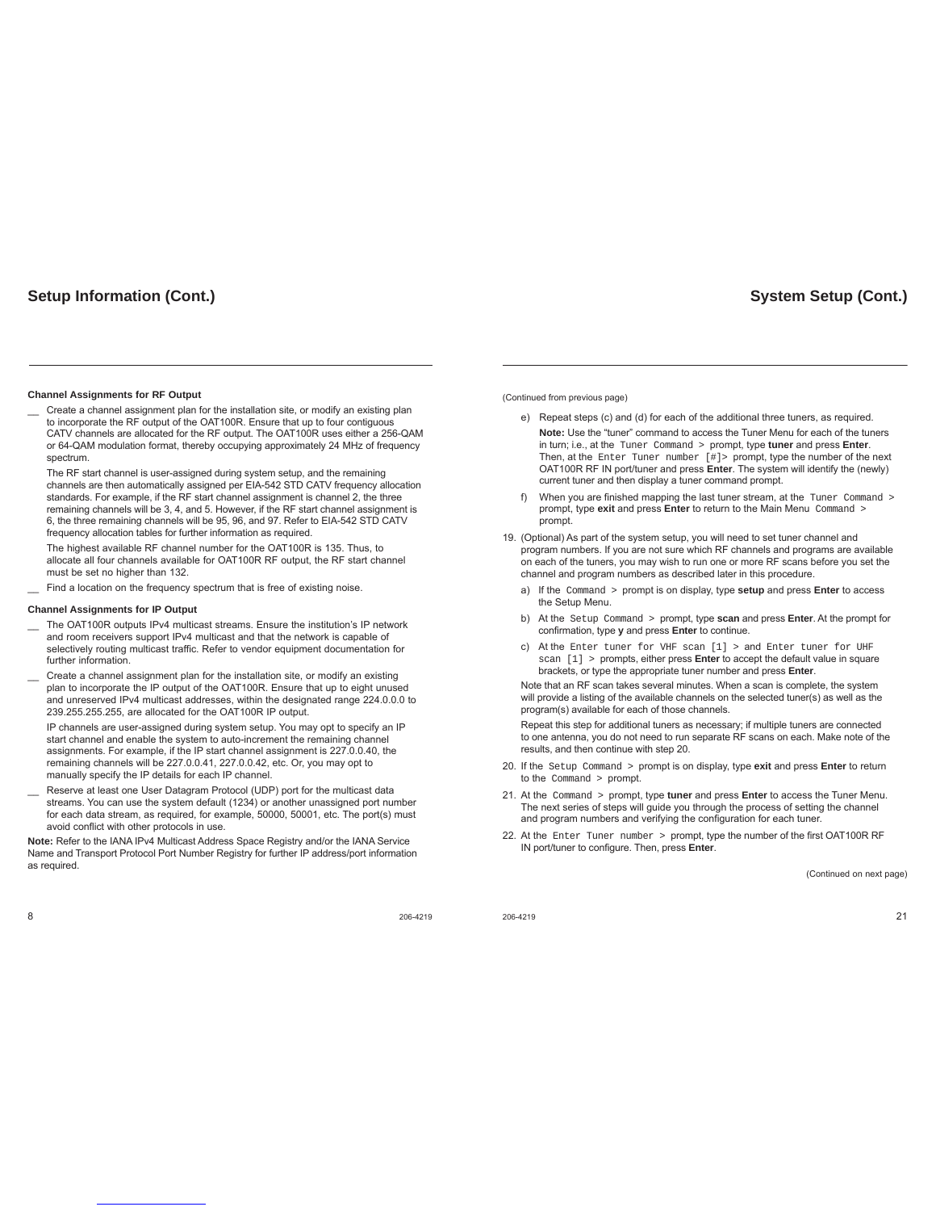## **Setup Information (Cont.)**

### **Channel Assignments for RF Output**

Create a channel assignment plan for the installation site, or modify an existing plan to incorporate the RF output of the OAT100R. Ensure that up to four contiguous CATV channels are allocated for the RF output. The OAT100R uses either a 256-QAM or 64-QAM modulation format, thereby occupying approximately 24 MHz of frequency spectrum.

The RF start channel is user-assigned during system setup, and the remaining channels are then automatically assigned per EIA-542 STD CATV frequency allocation standards. For example, if the RF start channel assignment is channel 2, the three remaining channels will be 3, 4, and 5. However, if the RF start channel assignment is 6, the three remaining channels will be 95, 96, and 97. Refer to EIA-542 STD CATV frequency allocation tables for further information as required.

The highest available RF channel number for the OAT100R is 135. Thus, to allocate all four channels available for OAT100R RF output, the RF start channel must be set no higher than 132.

Find a location on the frequency spectrum that is free of existing noise.

### **Channel Assignments for IP Output**

- The OAT100R outputs IPv4 multicast streams. Ensure the institution's IP network and room receivers support IPv4 multicast and that the network is capable of selectively routing multicast traffic. Refer to vendor equipment documentation for further information.
- Create a channel assignment plan for the installation site, or modify an existing plan to incorporate the IP output of the OAT100R. Ensure that up to eight unused and unreserved IPv4 multicast addresses, within the designated range 224.0.0.0 to 239.255.255.255, are allocated for the OAT100R IP output.

IP channels are user-assigned during system setup. You may opt to specify an IP start channel and enable the system to auto-increment the remaining channel assignments. For example, if the IP start channel assignment is 227.0.0.40, the remaining channels will be 227.0.0.41, 227.0.0.42, etc. Or, you may opt to manually specify the IP details for each IP channel.

Reserve at least one User Datagram Protocol (UDP) port for the multicast data streams. You can use the system default (1234) or another unassigned port number for each data stream, as required, for example, 50000, 50001, etc. The port(s) must avoid conflict with other protocols in use.

**Note:** Refer to the IANA IPv4 Multicast Address Space Registry and/or the IANA Service Name and Transport Protocol Port Number Registry for further IP address/port information as required.

8 206-4219

(Continued from previous page)

- e) Repeat steps (c) and (d) for each of the additional three tuners, as required. **Note:** Use the "tuner" command to access the Tuner Menu for each of the tuners in turn; i.e., at the Tuner Command > prompt, type **tuner** and press **Enter**. Then, at the Enter Tuner number [#]> prompt, type the number of the next OAT100R RF IN port/tuner and press **Enter**. The system will identify the (newly) current tuner and then display a tuner command prompt.
- f) When you are finished mapping the last tuner stream, at the Tuner Command > prompt, type **exit** and press **Enter** to return to the Main Menu Command > prompt.
- 19. (Optional) As part of the system setup, you will need to set tuner channel and program numbers. If you are not sure which RF channels and programs are available on each of the tuners, you may wish to run one or more RF scans before you set the channel and program numbers as described later in this procedure.
	- a) If the Command > prompt is on display, type **setup** and press **Enter** to access the Setup Menu.
	- b) At the Setup Command > prompt, type **scan** and press **Enter**. At the prompt for confirmation, type **y** and press **Enter** to continue.
	- c) At the Enter tuner for VHF scan [1] > and Enter tuner for UHF scan [1] > prompts, either press **Enter** to accept the default value in square brackets, or type the appropriate tuner number and press **Enter**.

 Note that an RF scan takes several minutes. When a scan is complete, the system will provide a listing of the available channels on the selected tuner(s) as well as the program(s) available for each of those channels.

Repeat this step for additional tuners as necessary; if multiple tuners are connected to one antenna, you do not need to run separate RF scans on each. Make note of the results, and then continue with step 20.

- 20. If the Setup Command > prompt is on display, type **exit** and press **Enter** to return to the Command > prompt
- 21. At the Command > prompt, type **tuner** and press **Enter** to access the Tuner Menu. The next series of steps will guide you through the process of setting the channel and program numbers and verifying the configuration for each tuner.
- 22. At the Enter Tuner number > prompt, type the number of the first OAT100R RF IN port/tuner to configure. Then, press **Enter.**

(Continued on next page)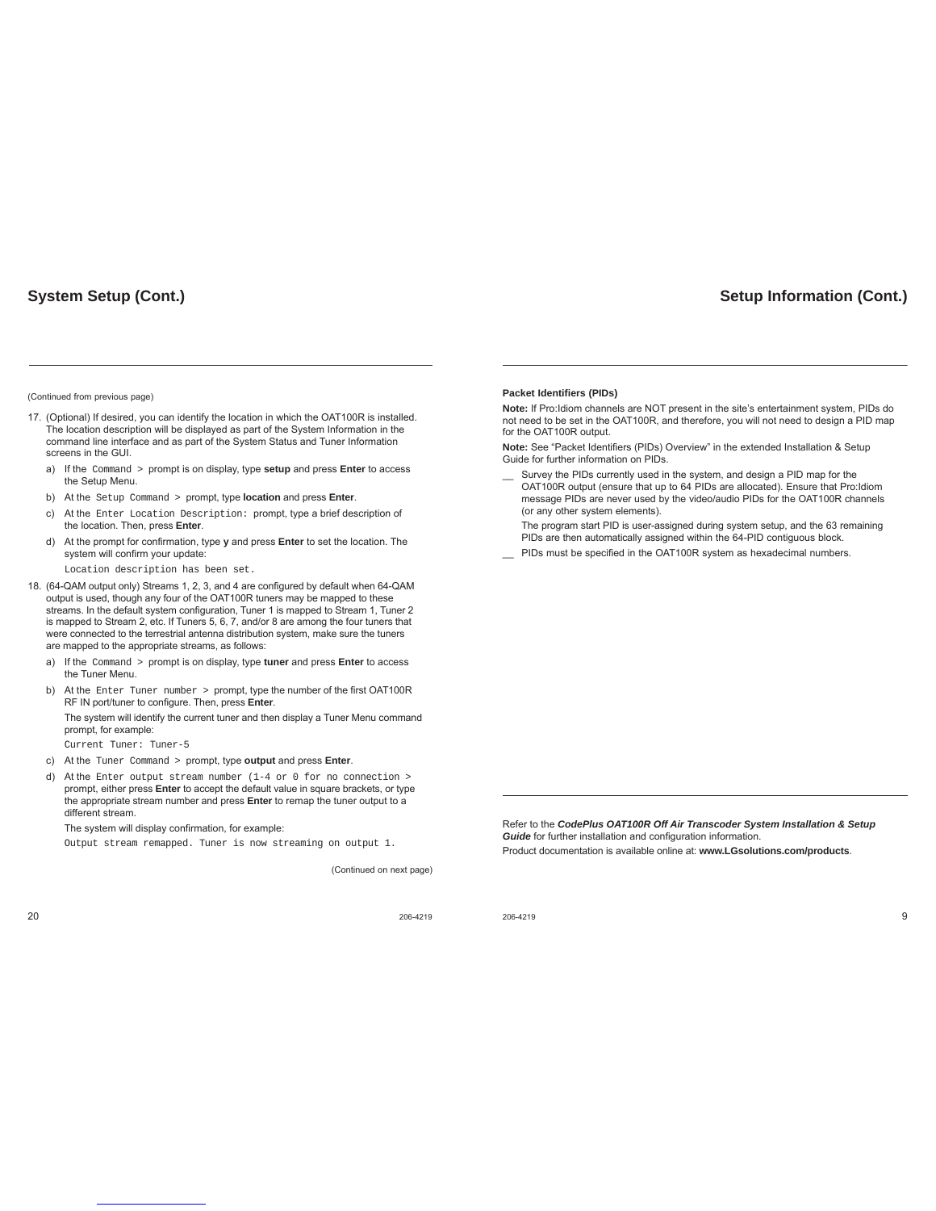# **System Setup (Cont.)**

#### (Continued from previous page)

- 17. (Optional) If desired, you can identify the location in which the OAT100R is installed. The location description will be displayed as part of the System Information in the command line interface and as part of the System Status and Tuner Information screens in the GUI.
	- a) If the Command > prompt is on display, type **setup** and press **Enter** to access the Setup Menu.
	- b) At the Setup Command > prompt, type **location** and press **Enter**.
	- c) At the Enter Location Description: prompt, type a brief description of the location. Then, press **Enter**.
	- d) At the prompt for confirmation, type **y** and press **Enter** to set the location. The system will confirm your update:
		- Location description has been set.
- 18. (64-QAM output only) Streams 1, 2, 3, and 4 are configured by default when 64-QAM output is used, though any four of the OAT100R tuners may be mapped to these streams. In the default system configuration, Tuner 1 is mapped to Stream 1, Tuner 2 is mapped to Stream 2, etc. If Tuners 5, 6, 7, and/or 8 are among the four tuners that were connected to the terrestrial antenna distribution system, make sure the tuners are mapped to the appropriate streams, as follows:
	- a) If the Command > prompt is on display, type **tuner** and press **Enter** to access the Tuner Menu.
	- b) At the Enter Tuner number > prompt, type the number of the first OAT100R RF IN port/tuner to configure. Then, press **Enter**. The system will identify the current tuner and then display a Tuner Menu command

prompt, for example: Current Tuner: Tuner-5

- c) At the Tuner Command > prompt, type **output** and press **Enter**.
- d) At the Enter output stream number (1-4 or 0 for no connection > prompt, either press **Enter** to accept the default value in square brackets, or type the appropriate stream number and press **Enter** to remap the tuner output to a different stream.

The system will display confirmation, for example:

Output stream remapped. Tuner is now streaming on output 1.

(Continued on next page)

**Packet Identifiers (PIDs)**

**Note:** If Pro:Idiom channels are NOT present in the site's entertainment system, PIDs do not need to be set in the OAT100R, and therefore, you will not need to design a PID map for the OAT100R output.

**Setup Information (Cont.)**

Note: See "Packet Identifiers (PIDs) Overview" in the extended Installation & Setup Guide for further information on PIDs.

- Survey the PIDs currently used in the system, and design a PID map for the OAT100R output (ensure that up to 64 PIDs are allocated). Ensure that Pro:Idiom message PIDs are never used by the video/audio PIDs for the OAT100R channels (or any other system elements).
- The program start PID is user-assigned during system setup, and the 63 remaining PIDs are then automatically assigned within the 64-PID contiguous block.
- PIDs must be specified in the OAT100R system as hexadecimal numbers.

Refer to the *CodePlus OAT100R Off Air Transcoder System Installation & Setup*  **Guide** for further installation and configuration information.

Product documentation is available online at: **www.LGsolutions.com/products**.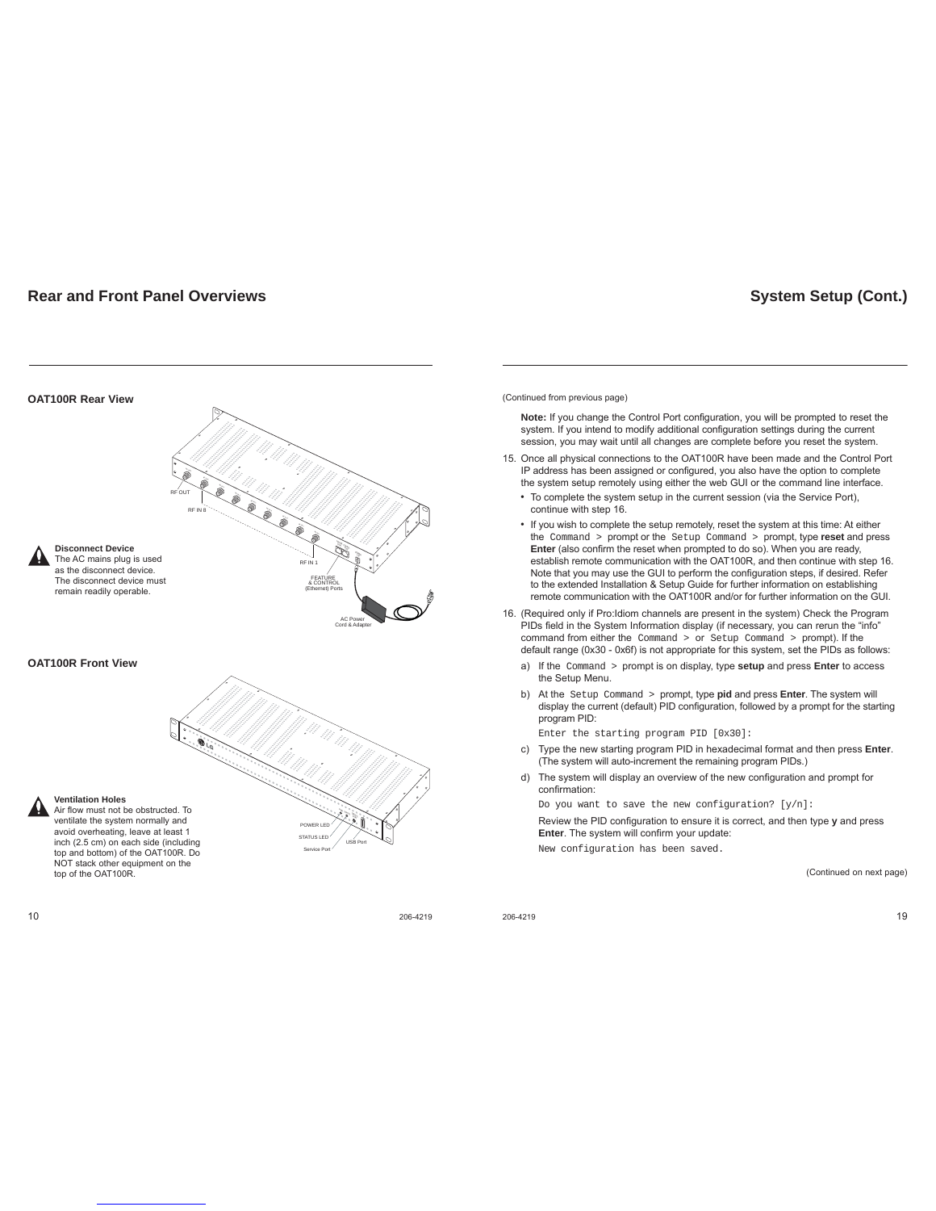## **Rear and Front Panel Overviews**

### FEATURE & CONTROL (Ethernet) Ports RF OUT POWER  $\mathbb{F}_{2n}$ PORT CONTROL PORT RF-IN AC Power Cord & Adapter  $\sum_{i=1}^N$ RF-IN 4  $\mathbf{r}_\text{e}$ RF-IN 6 RF-IN 5 RF-IN 7 RF-IN 8 RF IN 8 RF IN 1 **Disconnect Device** The AC mains plug is used as the disconnect device. The disconnect device must remain readily operable. STATUS LED POWER LED STATUS  $\frac{1}{2}$ USB Port Service Port **OAT100R Rear View OAT100R Front View Ventilation Holes** Air flow must not be obstructed. To ventilate the system normally and avoid overheating, leave at least 1 inch (2.5 cm) on each side (including top and bottom) of the OAT100R. Do NOT stack other equipment on the top of the OAT100R.

 $10$  206-4219

**System Setup (Cont.)**

(Continued from previous page)

**Note:** If you change the Control Port configuration, you will be prompted to reset the system. If you intend to modify additional configuration settings during the current session, you may wait until all changes are complete before you reset the system.

- 15. Once all physical connections to the OAT100R have been made and the Control Port IP address has been assigned or configured, you also have the option to complete the system setup remotely using either the web GUI or the command line interface.
	- To complete the system setup in the current session (via the Service Port), continue with step 16.
	- If you wish to complete the setup remotely, reset the system at this time: At either the Command > prompt or the Setup Command > prompt, type **reset** and press Enter (also confirm the reset when prompted to do so). When you are ready, establish remote communication with the OAT100R, and then continue with step 16. Note that you may use the GUI to perform the configuration steps, if desired. Refer to the extended Installation & Setup Guide for further information on establishing remote communication with the OAT100R and/or for further information on the GUI.
- 16. (Required only if Pro:Idiom channels are present in the system) Check the Program PIDs field in the System Information display (if necessary, you can rerun the "info" command from either the Command > or Setup Command > prompt). If the default range (0x30 - 0x6f) is not appropriate for this system, set the PIDs as follows:
	- a) If the Command > prompt is on display, type **setup** and press **Enter** to access the Setup Menu.
	- b) At the Setup Command > prompt, type **pid** and press **Enter**. The system will display the current (default) PID configuration, followed by a prompt for the starting program PID:

Enter the starting program PID [0x30]:

- c) Type the new starting program PID in hexadecimal format and then press **Enter**. (The system will auto-increment the remaining program PIDs.)
- d) The system will display an overview of the new configuration and prompt for confirmation:

Do you want to save the new configuration? [y/n]:

Review the PID configuration to ensure it is correct, and then type y and press **Enter**. The system will confirm your update:

New configuration has been saved.

(Continued on next page)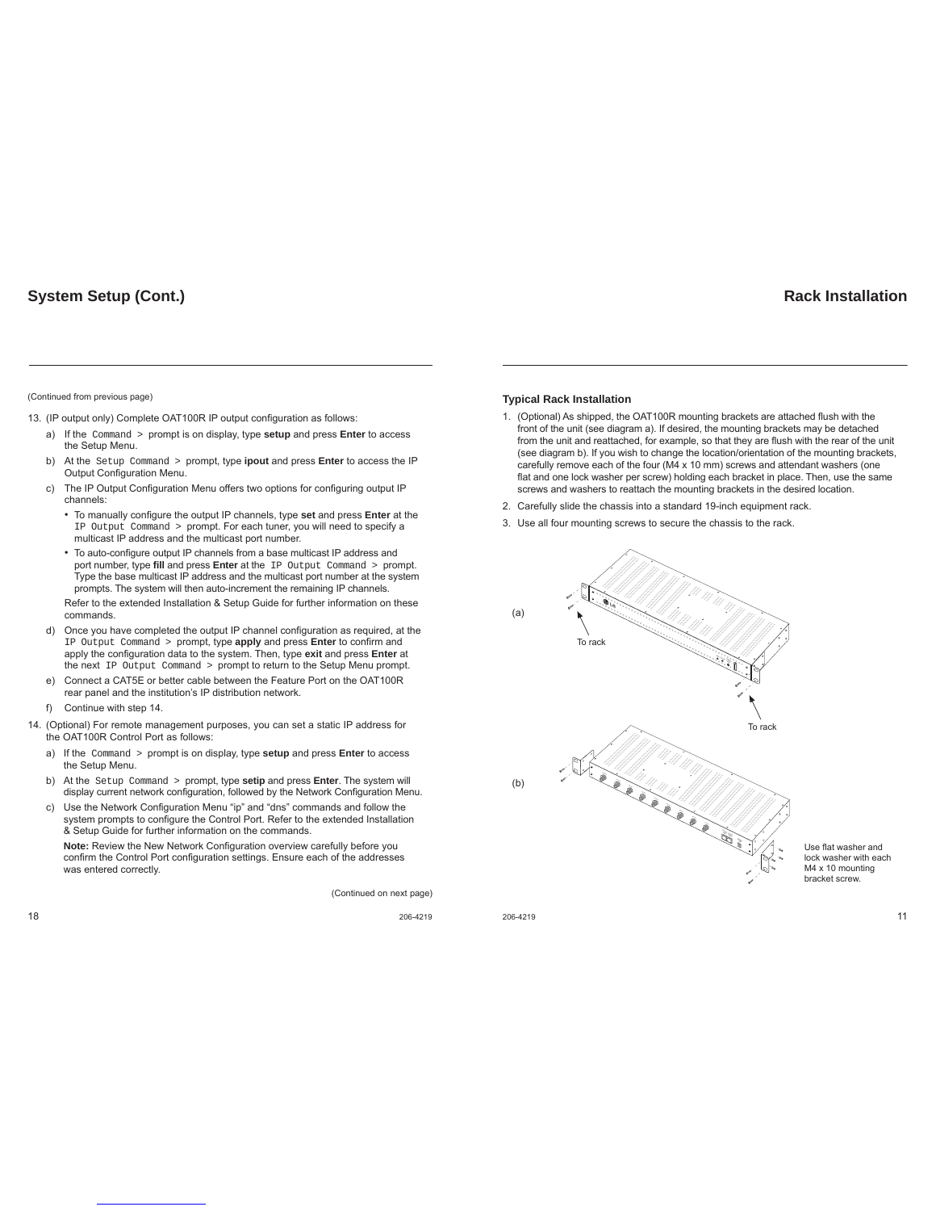### (Continued from previous page)

13. (IP output only) Complete OAT100R IP output configuration as follows:

- a) If the Command > prompt is on display, type **setup** and press **Enter** to access the Setup Menu.
- b) At the Setup Command > prompt, type **ipout** and press **Enter** to access the IP Output Configuration Menu.
- c) The IP Output Configuration Menu offers two options for configuring output IP channels:
	- To manually configure the output IP channels, type set and press Enter at the IP Output Command > prompt. For each tuner, you will need to specify a multicast IP address and the multicast port number.
	- To auto-configure output IP channels from a base multicast IP address and port number, type fill and press Enter at the IP Output Command > prompt. Type the base multicast IP address and the multicast port number at the system prompts. The system will then auto-increment the remaining IP channels.
	- Refer to the extended Installation & Setup Guide for further information on these commands.
- d) Once you have completed the output IP channel configuration as required, at the IP Output Command > prompt, type **apply** and press **Enter** to confirm and apply the configuration data to the system. Then, type **exit** and press **Enter** at the next IP Output Command > prompt to return to the Setup Menu prompt.
- e) Connect a CAT5E or better cable between the Feature Port on the OAT100R rear panel and the institution's IP distribution network.
- f) Continue with step 14.
- 14. (Optional) For remote management purposes, you can set a static IP address for the OAT100R Control Port as follows:
	- a) If the Command > prompt is on display, type **setup** and press **Enter** to access the Setup Menu.
	- b) At the Setup Command > prompt, type **setip** and press **Enter**. The system will display current network configuration, followed by the Network Configuration Menu.
	- c) Use the Network Configuration Menu "ip" and "dns" commands and follow the system prompts to configure the Control Port. Refer to the extended Installation & Setup Guide for further information on the commands.

**Note:** Review the New Network Configuration overview carefully before you confirm the Control Port configuration settings. Ensure each of the addresses was entered correctly.

(Continued on next page)

# **Rack Installation**

### **Typical Rack Installation**

- 1. (Optional) As shipped, the OAT100R mounting brackets are attached flush with the front of the unit (see diagram a). If desired, the mounting brackets may be detached from the unit and reattached, for example, so that they are flush with the rear of the unit (see diagram b). If you wish to change the location/orientation of the mounting brackets, carefully remove each of the four (M4 x 10 mm) screws and attendant washers (one flat and one lock washer per screw) holding each bracket in place. Then, use the same screws and washers to reattach the mounting brackets in the desired location.
- 2. Carefully slide the chassis into a standard 19-inch equipment rack.
- 3. Use all four mounting screws to secure the chassis to the rack.



Use flat washer and lock washer with each M4 x 10 mounting bracket screw.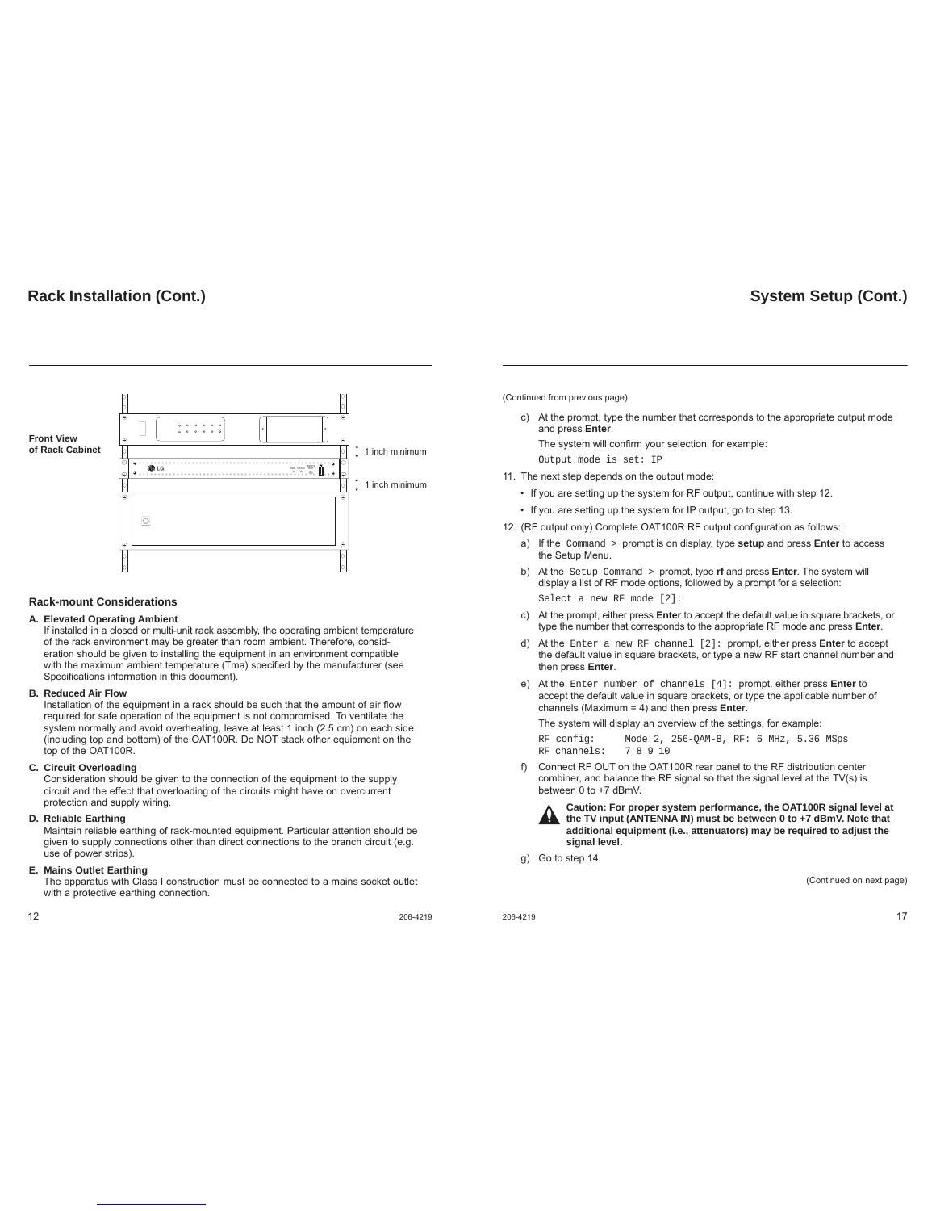# **Rack Installation (Cont.)**



### **Rack-mount Considerations**

### **A. Elevated Operating Ambient**

If installed in a closed or multi-unit rack assembly, the operating ambient temperature of the rack environment may be greater than room ambient. Therefore, consideration should be given to installing the equipment in an environment compatible with the maximum ambient temperature (Tma) specified by the manufacturer (see Specifications information in this document).

### **B. Reduced Air Flow**

Installation of the equipment in a rack should be such that the amount of air flow required for safe operation of the equipment is not compromised. To ventilate the system normally and avoid overheating, leave at least 1 inch (2.5 cm) on each side (including top and bottom) of the OAT100R. Do NOT stack other equipment on the top of the OAT100R.

### **C. Circuit Overloading**

 Consideration should be given to the connection of the equipment to the supply circuit and the effect that overloading of the circuits might have on overcurrent protection and supply wiring.

### **D. Reliable Earthing**

 Maintain reliable earthing of rack-mounted equipment. Particular attention should be given to supply connections other than direct connections to the branch circuit (e.g. use of power strips).

### **E. Mains Outlet Earthing**

 The apparatus with Class I construction must be connected to a mains socket outlet with a protective earthing connection.

 $12$  206-4219

**System Setup (Cont.)**

(Continued from previous page)

c) At the prompt, type the number that corresponds to the appropriate output mode and press **Enter**.

The system will confirm your selection, for example: Output mode is set: IP

11. The next step depends on the output mode:

- If you are setting up the system for RF output, continue with step 12.
- If you are setting up the system for IP output, go to step 13.
- 12. (RF output only) Complete OAT100R RF output configuration as follows:
	- a) If the Command > prompt is on display, type **setup** and press **Enter** to access the Setup Menu
	- b) At the Setup Command > prompt, type **rf** and press **Enter**. The system will display a list of RF mode options, followed by a prompt for a selection: Select a new RF mode [2]:
	- c) At the prompt, either press **Enter** to accept the default value in square brackets, or type the number that corresponds to the appropriate RF mode and press **Enter**.
	- d) At the Enter a new RF channel [2]: prompt, either press **Enter** to accept the default value in square brackets, or type a new RF start channel number and then press **Enter**.
	- e) At the Enter number of channels [4]: prompt, either press **Enter** to accept the default value in square brackets, or type the applicable number of channels (Maximum = 4) and then press **Enter**.

The system will display an overview of the settings, for example:

RF config: Mode 2, 256-QAM-B, RF: 6 MHz, 5.36 MSps RF channels:

f) Connect RF OUT on the OAT100R rear panel to the RF distribution center combiner, and balance the RF signal so that the signal level at the TV(s) is between 0 to +7 dBmV.



**Caution: For proper system performance, the OAT100R signal level at the TV input (ANTENNA IN) must be between 0 to +7 dBmV. Note that additional equipment (i.e., attenuators) may be required to adjust the signal level.**

g) Go to step 14.

(Continued on next page)

 $206-4219$  and  $17$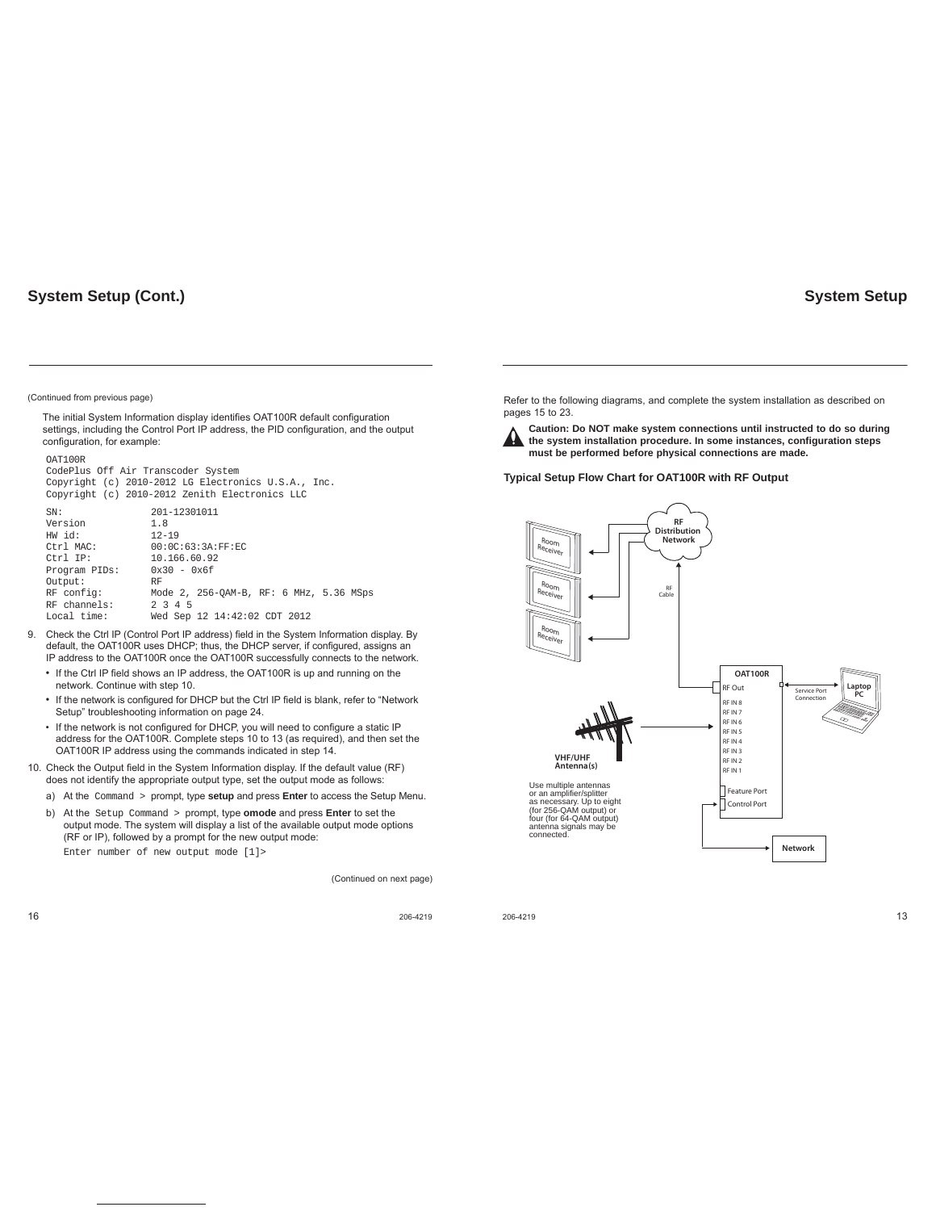# **System Setup (Cont.)**

## **System Setup**

#### (Continued from previous page)

OAT100R

The initial System Information display identifies OAT100R default configuration settings, including the Control Port IP address, the PID configuration, and the output configuration, for example:

| CodePlus Off Air Transcoder System                  |                                                |  |  |
|-----------------------------------------------------|------------------------------------------------|--|--|
| Copyright (c) 2010-2012 LG Electronics U.S.A., Inc. |                                                |  |  |
|                                                     | Copyright (c) 2010-2012 Zenith Electronics LLC |  |  |
| SN:                                                 | 201-12301011                                   |  |  |
| Version                                             | 1.8                                            |  |  |
| HW id:                                              | $12 - 19$                                      |  |  |
| Ctrl MAC:                                           | 00:00:63:3A:FF:EC                              |  |  |
| Ctrl TP:                                            | 10.166.60.92                                   |  |  |
| Program PIDs:                                       | $0x30 - 0x6f$                                  |  |  |
| Output:                                             | RF                                             |  |  |
| RF config:                                          | Mode 2, 256-OAM-B, RF: 6 MHz, 5.36 MSps        |  |  |
| RF channels:                                        | 2 3 4 5                                        |  |  |
| Local time:                                         | Wed Sep 12 14:42:02 CDT 2012                   |  |  |

- 9. Check the Ctrl IP (Control Port IP address) field in the System Information display. By default, the OAT100R uses DHCP; thus, the DHCP server, if configured, assigns an IP address to the OAT100R once the OAT100R successfully connects to the network.
	- If the Ctrl IP field shows an IP address, the OAT100R is up and running on the network. Continue with step 10.
	- If the network is configured for DHCP but the Ctrl IP field is blank, refer to "Network Setup" troubleshooting information on page 24.
	- If the network is not configured for DHCP, you will need to configure a static IP address for the OAT100R. Complete steps 10 to 13 (as required), and then set the OAT100R IP address using the commands indicated in step 14.
- 10. Check the Output field in the System Information display. If the default value (RF) does not identify the appropriate output type, set the output mode as follows:
	- a) At the Command > prompt, type **setup** and press **Enter** to access the Setup Menu.
	- b) At the Setup Command > prompt, type **omode** and press **Enter** to set the output mode. The system will display a list of the available output mode options (RF or IP), followed by a prompt for the new output mode:

Enter number of new output mode [1]>

(Continued on next page)

**16** 206-4219

Refer to the following diagrams, and complete the system installation as described on pages 15 to 23.



**Typical Setup Flow Chart for OAT100R with RF Output**



 $206-4219$  and  $13$